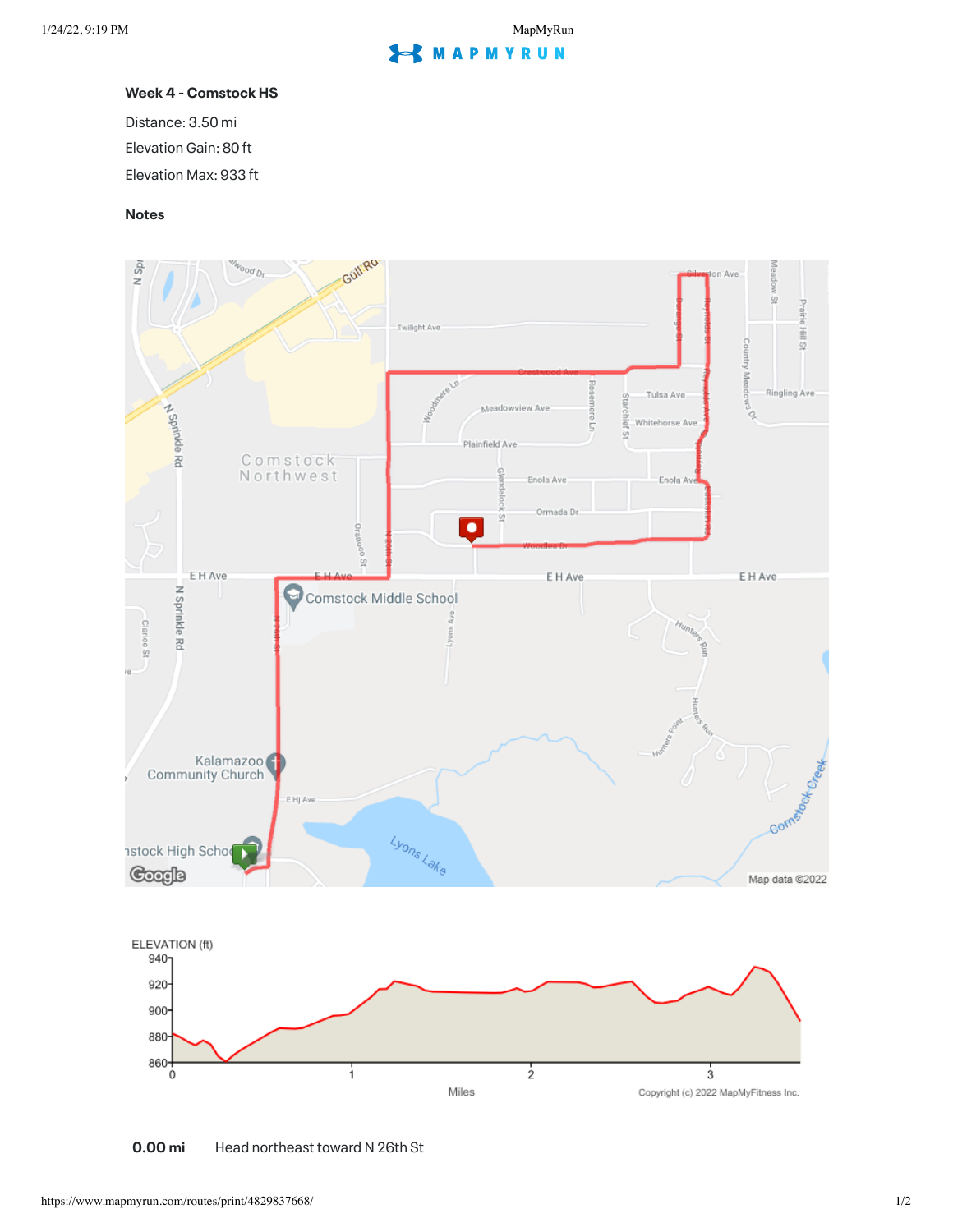## **S** MAPMYRUN

## **Week 4 - Comstock HS**

Distance: 3.50 mi Elevation Gain: 80 ft Elevation Max: 933 ft

## **Notes**